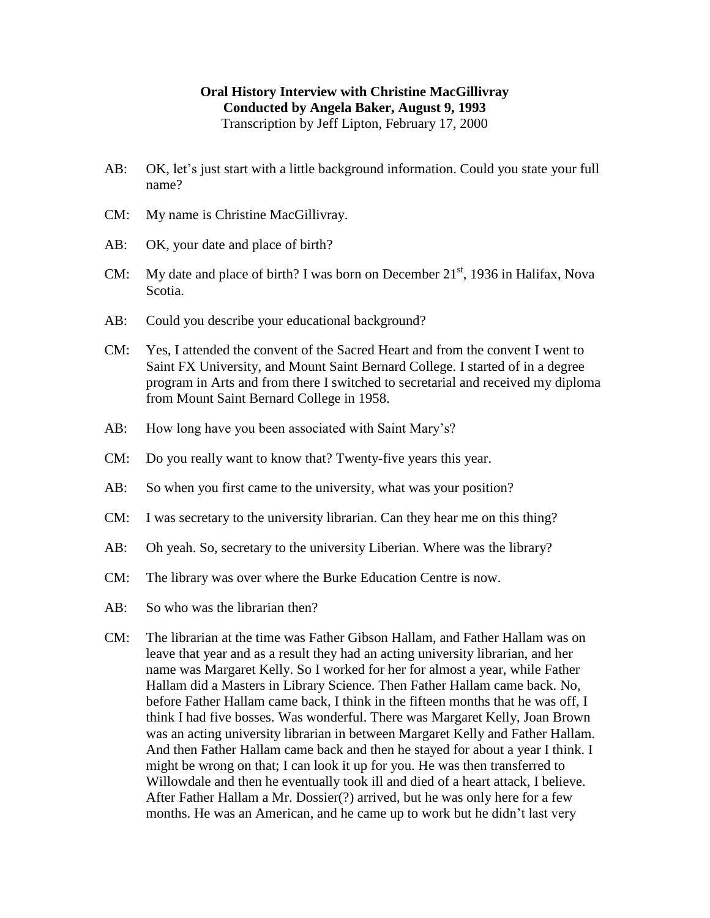## **Oral History Interview with Christine MacGillivray Conducted by Angela Baker, August 9, 1993** Transcription by Jeff Lipton, February 17, 2000

- AB: OK, let's just start with a little background information. Could you state your full name?
- CM: My name is Christine MacGillivray.
- AB: OK, your date and place of birth?
- CM: My date and place of birth? I was born on December  $21<sup>st</sup>$ , 1936 in Halifax, Nova Scotia.
- AB: Could you describe your educational background?
- CM: Yes, I attended the convent of the Sacred Heart and from the convent I went to Saint FX University, and Mount Saint Bernard College. I started of in a degree program in Arts and from there I switched to secretarial and received my diploma from Mount Saint Bernard College in 1958.
- AB: How long have you been associated with Saint Mary's?
- CM: Do you really want to know that? Twenty-five years this year.
- AB: So when you first came to the university, what was your position?
- CM: I was secretary to the university librarian. Can they hear me on this thing?
- AB: Oh yeah. So, secretary to the university Liberian. Where was the library?
- CM: The library was over where the Burke Education Centre is now.
- AB: So who was the librarian then?
- CM: The librarian at the time was Father Gibson Hallam, and Father Hallam was on leave that year and as a result they had an acting university librarian, and her name was Margaret Kelly. So I worked for her for almost a year, while Father Hallam did a Masters in Library Science. Then Father Hallam came back. No, before Father Hallam came back, I think in the fifteen months that he was off, I think I had five bosses. Was wonderful. There was Margaret Kelly, Joan Brown was an acting university librarian in between Margaret Kelly and Father Hallam. And then Father Hallam came back and then he stayed for about a year I think. I might be wrong on that; I can look it up for you. He was then transferred to Willowdale and then he eventually took ill and died of a heart attack, I believe. After Father Hallam a Mr. Dossier(?) arrived, but he was only here for a few months. He was an American, and he came up to work but he didn't last very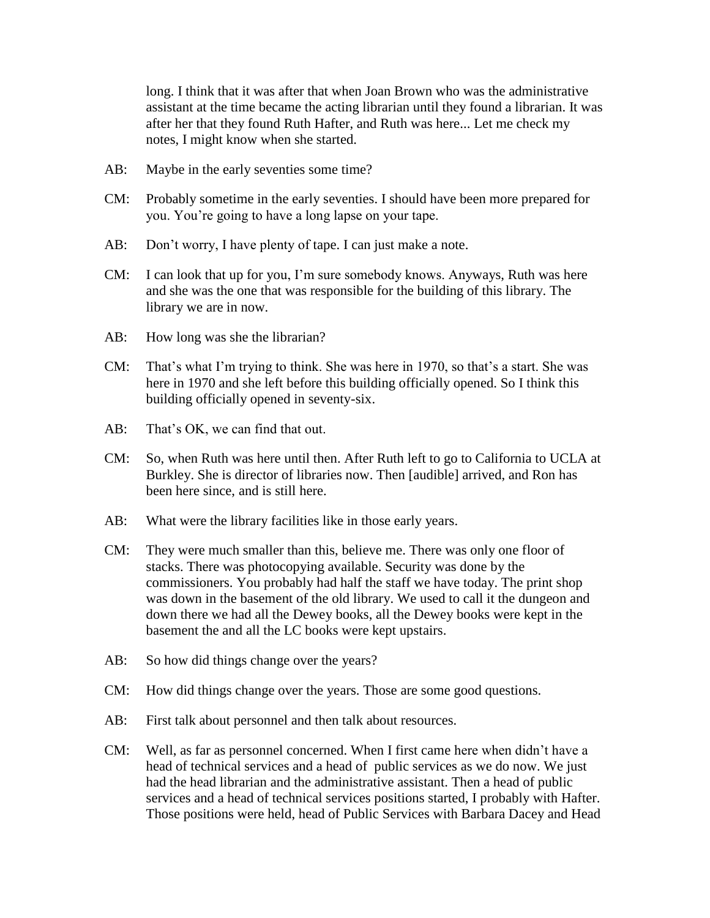long. I think that it was after that when Joan Brown who was the administrative assistant at the time became the acting librarian until they found a librarian. It was after her that they found Ruth Hafter, and Ruth was here... Let me check my notes, I might know when she started.

- AB: Maybe in the early seventies some time?
- CM: Probably sometime in the early seventies. I should have been more prepared for you. You're going to have a long lapse on your tape.
- AB: Don't worry, I have plenty of tape. I can just make a note.
- CM: I can look that up for you, I'm sure somebody knows. Anyways, Ruth was here and she was the one that was responsible for the building of this library. The library we are in now.
- AB: How long was she the librarian?
- CM: That's what I'm trying to think. She was here in 1970, so that's a start. She was here in 1970 and she left before this building officially opened. So I think this building officially opened in seventy-six.
- AB: That's OK, we can find that out.
- CM: So, when Ruth was here until then. After Ruth left to go to California to UCLA at Burkley. She is director of libraries now. Then [audible] arrived, and Ron has been here since, and is still here.
- AB: What were the library facilities like in those early years.
- CM: They were much smaller than this, believe me. There was only one floor of stacks. There was photocopying available. Security was done by the commissioners. You probably had half the staff we have today. The print shop was down in the basement of the old library. We used to call it the dungeon and down there we had all the Dewey books, all the Dewey books were kept in the basement the and all the LC books were kept upstairs.
- AB: So how did things change over the years?
- CM: How did things change over the years. Those are some good questions.
- AB: First talk about personnel and then talk about resources.
- CM: Well, as far as personnel concerned. When I first came here when didn't have a head of technical services and a head of public services as we do now. We just had the head librarian and the administrative assistant. Then a head of public services and a head of technical services positions started, I probably with Hafter. Those positions were held, head of Public Services with Barbara Dacey and Head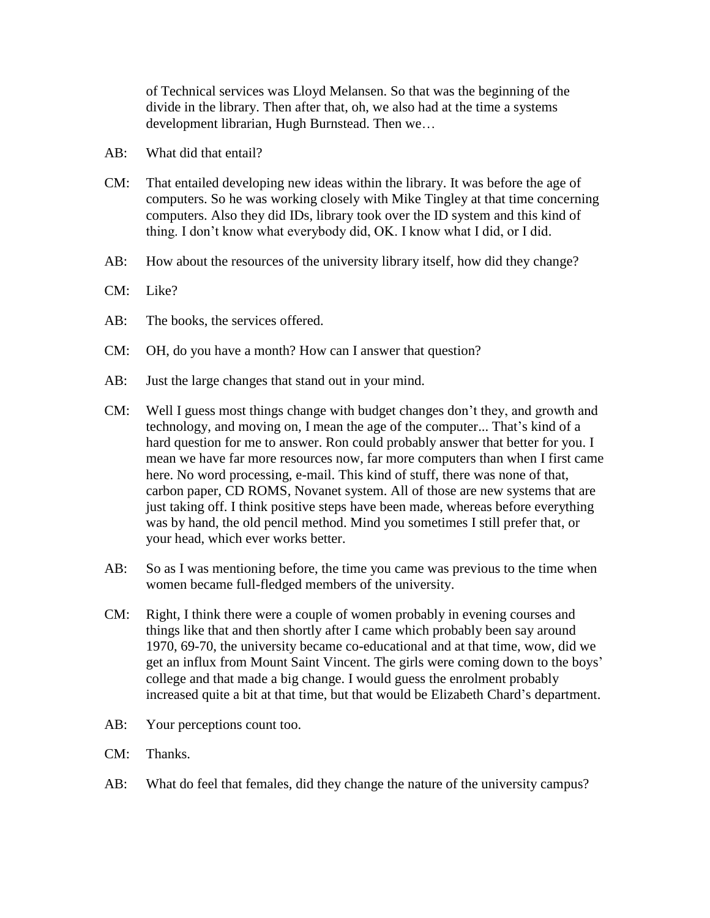of Technical services was Lloyd Melansen. So that was the beginning of the divide in the library. Then after that, oh, we also had at the time a systems development librarian, Hugh Burnstead. Then we…

- AB: What did that entail?
- CM: That entailed developing new ideas within the library. It was before the age of computers. So he was working closely with Mike Tingley at that time concerning computers. Also they did IDs, library took over the ID system and this kind of thing. I don't know what everybody did, OK. I know what I did, or I did.
- AB: How about the resources of the university library itself, how did they change?
- CM: Like?
- AB: The books, the services offered.
- CM: OH, do you have a month? How can I answer that question?
- AB: Just the large changes that stand out in your mind.
- CM: Well I guess most things change with budget changes don't they, and growth and technology, and moving on, I mean the age of the computer... That's kind of a hard question for me to answer. Ron could probably answer that better for you. I mean we have far more resources now, far more computers than when I first came here. No word processing, e-mail. This kind of stuff, there was none of that, carbon paper, CD ROMS, Novanet system. All of those are new systems that are just taking off. I think positive steps have been made, whereas before everything was by hand, the old pencil method. Mind you sometimes I still prefer that, or your head, which ever works better.
- AB: So as I was mentioning before, the time you came was previous to the time when women became full-fledged members of the university.
- CM: Right, I think there were a couple of women probably in evening courses and things like that and then shortly after I came which probably been say around 1970, 69-70, the university became co-educational and at that time, wow, did we get an influx from Mount Saint Vincent. The girls were coming down to the boys' college and that made a big change. I would guess the enrolment probably increased quite a bit at that time, but that would be Elizabeth Chard's department.
- AB: Your perceptions count too.
- CM: Thanks.
- AB: What do feel that females, did they change the nature of the university campus?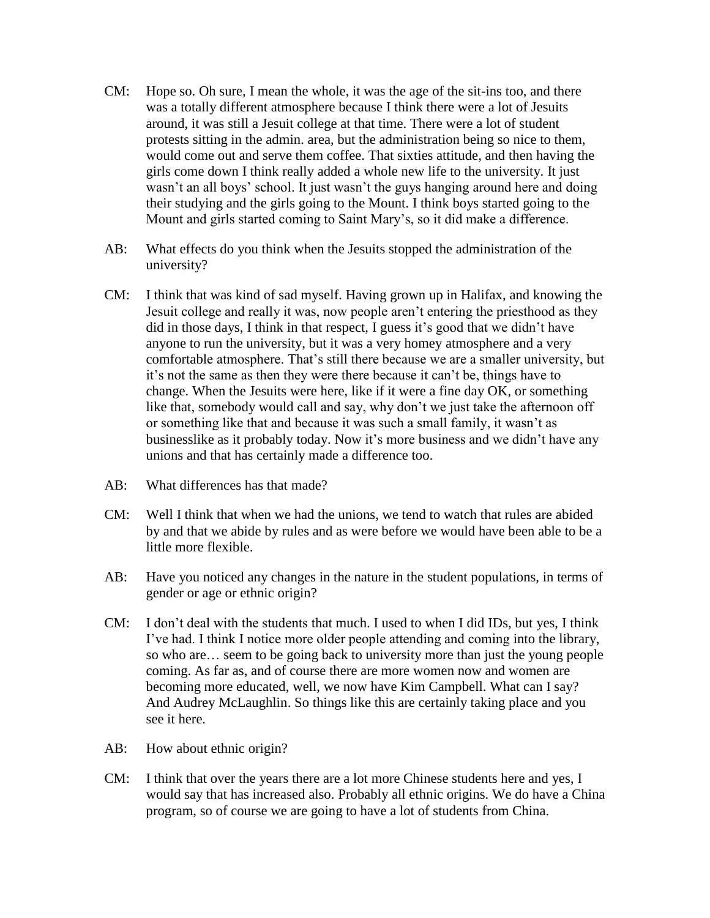- CM: Hope so. Oh sure, I mean the whole, it was the age of the sit-ins too, and there was a totally different atmosphere because I think there were a lot of Jesuits around, it was still a Jesuit college at that time. There were a lot of student protests sitting in the admin. area, but the administration being so nice to them, would come out and serve them coffee. That sixties attitude, and then having the girls come down I think really added a whole new life to the university. It just wasn't an all boys' school. It just wasn't the guys hanging around here and doing their studying and the girls going to the Mount. I think boys started going to the Mount and girls started coming to Saint Mary's, so it did make a difference.
- AB: What effects do you think when the Jesuits stopped the administration of the university?
- CM: I think that was kind of sad myself. Having grown up in Halifax, and knowing the Jesuit college and really it was, now people aren't entering the priesthood as they did in those days, I think in that respect, I guess it's good that we didn't have anyone to run the university, but it was a very homey atmosphere and a very comfortable atmosphere. That's still there because we are a smaller university, but it's not the same as then they were there because it can't be, things have to change. When the Jesuits were here, like if it were a fine day OK, or something like that, somebody would call and say, why don't we just take the afternoon off or something like that and because it was such a small family, it wasn't as businesslike as it probably today. Now it's more business and we didn't have any unions and that has certainly made a difference too.
- AB: What differences has that made?
- CM: Well I think that when we had the unions, we tend to watch that rules are abided by and that we abide by rules and as were before we would have been able to be a little more flexible.
- AB: Have you noticed any changes in the nature in the student populations, in terms of gender or age or ethnic origin?
- CM: I don't deal with the students that much. I used to when I did IDs, but yes, I think I've had. I think I notice more older people attending and coming into the library, so who are… seem to be going back to university more than just the young people coming. As far as, and of course there are more women now and women are becoming more educated, well, we now have Kim Campbell. What can I say? And Audrey McLaughlin. So things like this are certainly taking place and you see it here.
- AB: How about ethnic origin?
- CM: I think that over the years there are a lot more Chinese students here and yes, I would say that has increased also. Probably all ethnic origins. We do have a China program, so of course we are going to have a lot of students from China.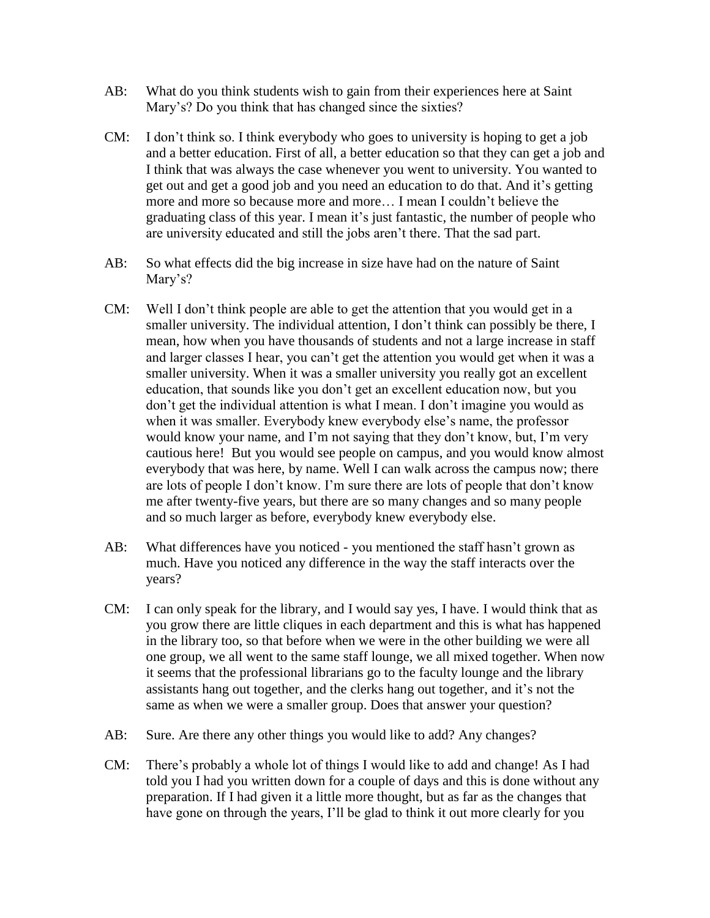- AB: What do you think students wish to gain from their experiences here at Saint Mary's? Do you think that has changed since the sixties?
- CM: I don't think so. I think everybody who goes to university is hoping to get a job and a better education. First of all, a better education so that they can get a job and I think that was always the case whenever you went to university. You wanted to get out and get a good job and you need an education to do that. And it's getting more and more so because more and more… I mean I couldn't believe the graduating class of this year. I mean it's just fantastic, the number of people who are university educated and still the jobs aren't there. That the sad part.
- AB: So what effects did the big increase in size have had on the nature of Saint Mary's?
- CM: Well I don't think people are able to get the attention that you would get in a smaller university. The individual attention, I don't think can possibly be there, I mean, how when you have thousands of students and not a large increase in staff and larger classes I hear, you can't get the attention you would get when it was a smaller university. When it was a smaller university you really got an excellent education, that sounds like you don't get an excellent education now, but you don't get the individual attention is what I mean. I don't imagine you would as when it was smaller. Everybody knew everybody else's name, the professor would know your name, and I'm not saying that they don't know, but, I'm very cautious here! But you would see people on campus, and you would know almost everybody that was here, by name. Well I can walk across the campus now; there are lots of people I don't know. I'm sure there are lots of people that don't know me after twenty-five years, but there are so many changes and so many people and so much larger as before, everybody knew everybody else.
- AB: What differences have you noticed you mentioned the staff hasn't grown as much. Have you noticed any difference in the way the staff interacts over the years?
- CM: I can only speak for the library, and I would say yes, I have. I would think that as you grow there are little cliques in each department and this is what has happened in the library too, so that before when we were in the other building we were all one group, we all went to the same staff lounge, we all mixed together. When now it seems that the professional librarians go to the faculty lounge and the library assistants hang out together, and the clerks hang out together, and it's not the same as when we were a smaller group. Does that answer your question?
- AB: Sure. Are there any other things you would like to add? Any changes?
- CM: There's probably a whole lot of things I would like to add and change! As I had told you I had you written down for a couple of days and this is done without any preparation. If I had given it a little more thought, but as far as the changes that have gone on through the years, I'll be glad to think it out more clearly for you